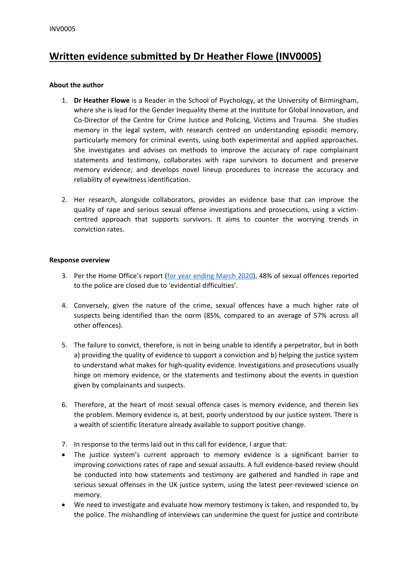# **Written evidence submitted by Dr Heather Flowe (INV0005)**

### **About the author**

- 1. **Dr Heather Flowe** is a Reader in the School of Psychology, at the University of Birmingham, where she is lead for the Gender Inequality theme at the Institute for Global Innovation, and Co-Director of the Centre for Crime Justice and Policing, Victims and Trauma. She studies memory in the legal system, with research centred on understanding episodic memory, particularly memory for criminal events, using both experimental and applied approaches. She investigates and advises on methods to improve the accuracy of rape complainant statements and testimony, collaborates with rape survivors to document and preserve memory evidence; and develops novel lineup procedures to increase the accuracy and reliability of eyewitness identification.
- 2. Her research, alongside collaborators, provides an evidence base that can improve the quality of rape and serious sexual offense investigations and prosecutions, using a victimcentred approach that supports survivors. It aims to counter the worrying trends in conviction rates.

#### **Response overview**

- 3. Per the Home Office's report [\(for](https://assets.publishing.service.gov.uk/government/uploads/system/uploads/attachment_data/file/901028/crime-outcomes-1920-hosb1720.pdf) [year](https://assets.publishing.service.gov.uk/government/uploads/system/uploads/attachment_data/file/901028/crime-outcomes-1920-hosb1720.pdf) [ending](https://assets.publishing.service.gov.uk/government/uploads/system/uploads/attachment_data/file/901028/crime-outcomes-1920-hosb1720.pdf) [March](https://assets.publishing.service.gov.uk/government/uploads/system/uploads/attachment_data/file/901028/crime-outcomes-1920-hosb1720.pdf) [2020](https://assets.publishing.service.gov.uk/government/uploads/system/uploads/attachment_data/file/901028/crime-outcomes-1920-hosb1720.pdf)), 48% of sexual offences reported to the police are closed due to 'evidential difficulties'.
- 4. Conversely, given the nature of the crime, sexual offences have a much higher rate of suspects being identified than the norm (85%, compared to an average of 57% across all other offences).
- 5. The failure to convict, therefore, is not in being unable to identify a perpetrator, but in both a) providing the quality of evidence to support a conviction and b) helping the justice system to understand what makes for high-quality evidence. Investigations and prosecutions usually hinge on memory evidence, or the statements and testimony about the events in question given by complainants and suspects.
- 6. Therefore, at the heart of most sexual offence cases is memory evidence, and therein lies the problem. Memory evidence is, at best, poorly understood by our justice system. There is a wealth of scientific literature already available to support positive change.
- 7. In response to the terms laid out in this call for evidence, I argue that:
- The justice system's current approach to memory evidence is a significant barrier to improving convictions rates of rape and sexual assaults. A full evidence-based review should be conducted into how statements and testimony are gathered and handled in rape and serious sexual offenses in the UK justice system, using the latest peer-reviewed science on memory.
- We need to investigate and evaluate how memory testimony is taken, and responded to, by the police. The mishandling of interviews can undermine the quest for justice and contribute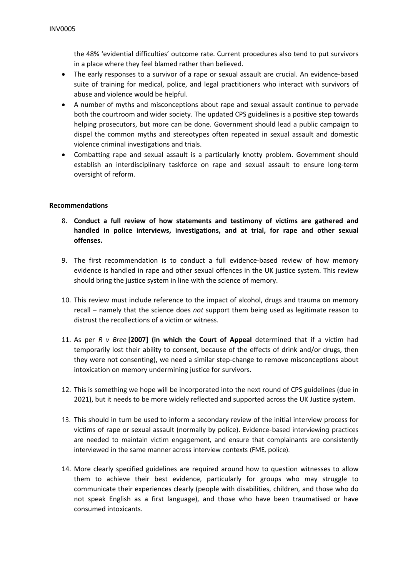the 48% 'evidential difficulties' outcome rate. Current procedures also tend to put survivors in a place where they feel blamed rather than believed.

- The early responses to a survivor of a rape or sexual assault are crucial. An evidence-based suite of training for medical, police, and legal practitioners who interact with survivors of abuse and violence would be helpful.
- A number of myths and misconceptions about rape and sexual assault continue to pervade both the courtroom and wider society. The updated CPS guidelines is a positive step towards helping prosecutors, but more can be done. Government should lead a public campaign to dispel the common myths and stereotypes often repeated in sexual assault and domestic violence criminal investigations and trials.
- Combatting rape and sexual assault is a particularly knotty problem. Government should establish an interdisciplinary taskforce on rape and sexual assault to ensure long-term oversight of reform.

#### **Recommendations**

- 8. **Conduct a full review of how statements and testimony of victims are gathered and handled in police interviews, investigations, and at trial, for rape and other sexual offenses.**
- 9. The first recommendation is to conduct a full evidence-based review of how memory evidence is handled in rape and other sexual offences in the UK justice system. This review should bring the justice system in line with the science of memory.
- 10. This review must include reference to the impact of alcohol, drugs and trauma on memory recall – namely that the science does *not* support them being used as legitimate reason to distrust the recollections of a victim or witness.
- 11. As per *R v Bree* **[2007] (in which the Court of Appeal** determined that if a victim had temporarily lost their ability to consent, because of the effects of drink and/or drugs, then they were not consenting), we need a similar step-change to remove misconceptions about intoxication on memory undermining justice for survivors.
- 12. This is something we hope will be incorporated into the next round of CPS guidelines (due in 2021), but it needs to be more widely reflected and supported across the UK Justice system.
- 13. This should in turn be used to inform a secondary review of the initial interview process for victims of rape or sexual assault (normally by police). Evidence-based interviewing practices are needed to maintain victim engagement, and ensure that complainants are consistently interviewed in the same manner across interview contexts (FME, police).
- 14. More clearly specified guidelines are required around how to question witnesses to allow them to achieve their best evidence, particularly for groups who may struggle to communicate their experiences clearly (people with disabilities, children, and those who do not speak English as a first language), and those who have been traumatised or have consumed intoxicants.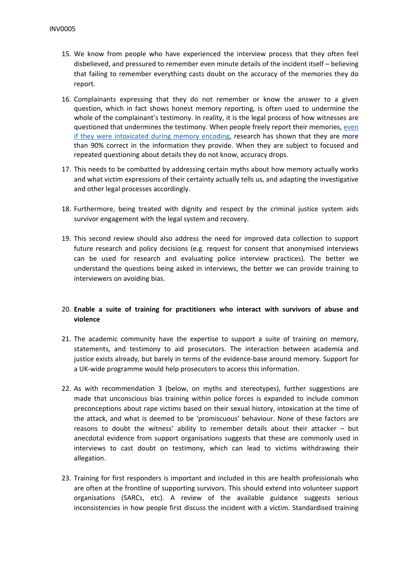- 15. We know from people who have experienced the interview process that they often feel disbelieved, and pressured to remember even minute details of the incident itself – believing that failing to remember everything casts doubt on the accuracy of the memories they do report.
- 16. Complainants expressing that they do not remember or know the answer to a given question, which in fact shows honest memory reporting, is often used to undermine the whole of the complainant's testimony. In reality, it is the legal process of how witnesses are questioned that undermines the testimony. When people freely report their memories, [even](https://pubmed.ncbi.nlm.nih.gov/26278075/) [if](https://pubmed.ncbi.nlm.nih.gov/26278075/) [they](https://pubmed.ncbi.nlm.nih.gov/26278075/) [were](https://pubmed.ncbi.nlm.nih.gov/26278075/) [intoxicated](https://pubmed.ncbi.nlm.nih.gov/26278075/) [during](https://pubmed.ncbi.nlm.nih.gov/26278075/) [memory](https://pubmed.ncbi.nlm.nih.gov/26278075/) [encoding](https://pubmed.ncbi.nlm.nih.gov/26278075/), research has shown that they are more than 90% correct in the information they provide. When they are subject to focused and repeated questioning about details they do not know, accuracy drops.
- 17. This needs to be combatted by addressing certain myths about how memory actually works and what victim expressions of their certainty actually tells us, and adapting the investigative and other legal processes accordingly.
- 18. Furthermore, being treated with dignity and respect by the criminal justice system aids survivor engagement with the legal system and recovery.
- 19. This second review should also address the need for improved data collection to support future research and policy decisions (e.g. request for consent that anonymised interviews can be used for research and evaluating police interview practices). The better we understand the questions being asked in interviews, the better we can provide training to interviewers on avoiding bias.

## 20. **Enable a suite of training for practitioners who interact with survivors of abuse and violence**

- 21. The academic community have the expertise to support a suite of training on memory, statements, and testimony to aid prosecutors. The interaction between academia and justice exists already, but barely in terms of the evidence-base around memory. Support for a UK-wide programme would help prosecutors to access this information.
- 22. As with recommendation 3 (below, on myths and stereotypes), further suggestions are made that unconscious bias training within police forces is expanded to include common preconceptions about rape victims based on their sexual history, intoxication at the time of the attack, and what is deemed to be 'promiscuous' behaviour. None of these factors are reasons to doubt the witness' ability to remember details about their attacker – but anecdotal evidence from support organisations suggests that these are commonly used in interviews to cast doubt on testimony, which can lead to victims withdrawing their allegation.
- 23. Training for first responders is important and included in this are health professionals who are often at the frontline of supporting survivors. This should extend into volunteer support organisations (SARCs, etc). A review of the available guidance suggests serious inconsistencies in how people first discuss the incident with a victim. Standardised training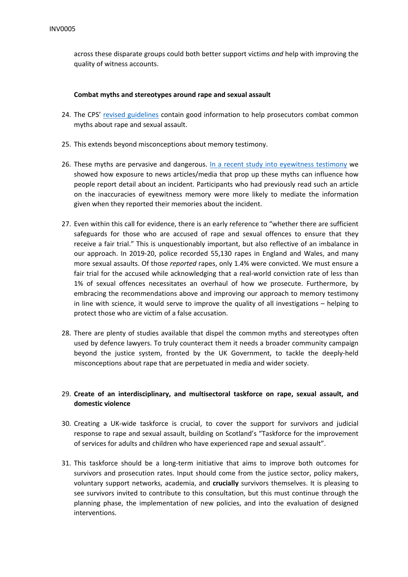across these disparate groups could both better support victims *and* help with improving the quality of witness accounts.

#### **Combat myths and stereotypes around rape and sexual assault**

- 24. The CPS' [revised](https://www.cps.gov.uk/legal-guidance/rape-and-sexual-offences-chapter-4-myths-and-stereotypes) [guidelines](https://www.cps.gov.uk/legal-guidance/rape-and-sexual-offences-chapter-4-myths-and-stereotypes) contain good information to help prosecutors combat common myths about rape and sexual assault.
- 25. This extends beyond misconceptions about memory testimony.
- 26. These myths are pervasive and dangerous. [In](https://www.tandfonline.com/doi/abs/10.1080/09658211.2020.1846750) [a](https://www.tandfonline.com/doi/abs/10.1080/09658211.2020.1846750) [recent](https://www.tandfonline.com/doi/abs/10.1080/09658211.2020.1846750) [study](https://www.tandfonline.com/doi/abs/10.1080/09658211.2020.1846750) [into](https://www.tandfonline.com/doi/abs/10.1080/09658211.2020.1846750) [eyewitness](https://www.tandfonline.com/doi/abs/10.1080/09658211.2020.1846750) [testimony](https://www.tandfonline.com/doi/abs/10.1080/09658211.2020.1846750) we showed how exposure to news articles/media that prop up these myths can influence how people report detail about an incident. Participants who had previously read such an article on the inaccuracies of eyewitness memory were more likely to mediate the information given when they reported their memories about the incident.
- 27. Even within this call for evidence, there is an early reference to "whether there are sufficient safeguards for those who are accused of rape and sexual offences to ensure that they receive a fair trial." This is unquestionably important, but also reflective of an imbalance in our approach. In 2019-20, police recorded 55,130 rapes in England and Wales, and many more sexual assaults. Of those *reported* rapes, only 1.4% were convicted. We must ensure a fair trial for the accused while acknowledging that a real-world conviction rate of less than 1% of sexual offences necessitates an overhaul of how we prosecute. Furthermore, by embracing the recommendations above and improving our approach to memory testimony in line with science, it would serve to improve the quality of all investigations – helping to protect those who are victim of a false accusation.
- 28. There are plenty of studies available that dispel the common myths and stereotypes often used by defence lawyers. To truly counteract them it needs a broader community campaign beyond the justice system, fronted by the UK Government, to tackle the deeply-held misconceptions about rape that are perpetuated in media and wider society.

## 29. **Create of an interdisciplinary, and multisectoral taskforce on rape, sexual assault, and domestic violence**

- 30. Creating a UK-wide taskforce is crucial, to cover the support for survivors and judicial response to rape and sexual assault, building on Scotland's "Taskforce for the improvement of services for adults and children who have experienced rape and sexual assault".
- 31. This taskforce should be a long-term initiative that aims to improve both outcomes for survivors and prosecution rates. Input should come from the justice sector, policy makers, voluntary support networks, academia, and **crucially** survivors themselves. It is pleasing to see survivors invited to contribute to this consultation, but this must continue through the planning phase, the implementation of new policies, and into the evaluation of designed interventions.